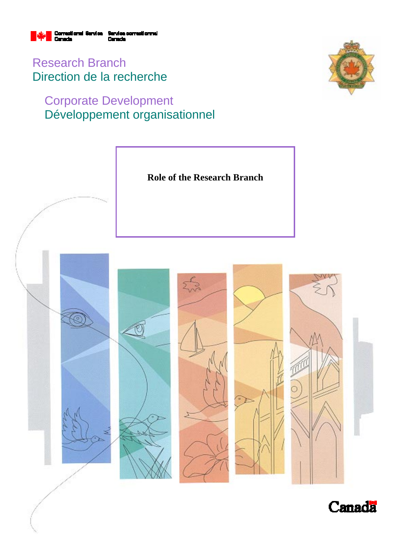

Research Branch Direction de la recherche

# Corporate Development Développement organisationnel





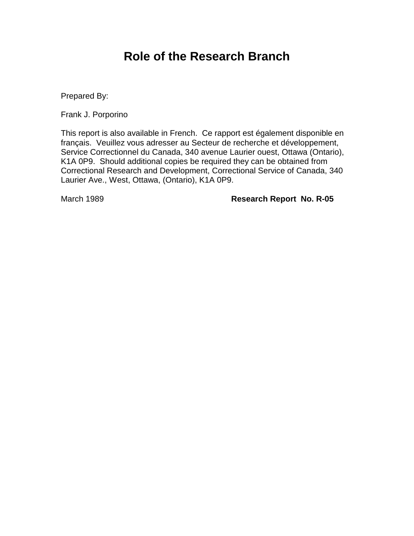## **Role of the Research Branch**

Prepared By:

Frank J. Porporino

This report is also available in French. Ce rapport est également disponible en français. Veuillez vous adresser au Secteur de recherche et développement, Service Correctionnel du Canada, 340 avenue Laurier ouest, Ottawa (Ontario), K1A 0P9. Should additional copies be required they can be obtained from Correctional Research and Development, Correctional Service of Canada, 340 Laurier Ave., West, Ottawa, (Ontario), K1A 0P9.

March 1989 **Research Report No. R-05**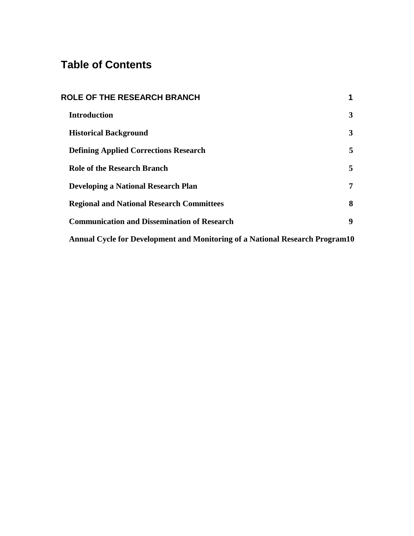## **Table of Contents**

| <b>ROLE OF THE RESEARCH BRANCH</b>                                           | 1 |  |
|------------------------------------------------------------------------------|---|--|
| <b>Introduction</b>                                                          | 3 |  |
| <b>Historical Background</b>                                                 | 3 |  |
| <b>Defining Applied Corrections Research</b>                                 | 5 |  |
| <b>Role of the Research Branch</b>                                           | 5 |  |
| <b>Developing a National Research Plan</b>                                   | 7 |  |
| <b>Regional and National Research Committees</b>                             | 8 |  |
| <b>Communication and Dissemination of Research</b>                           | 9 |  |
| Annual Cycle for Development and Monitoring of a National Research Program10 |   |  |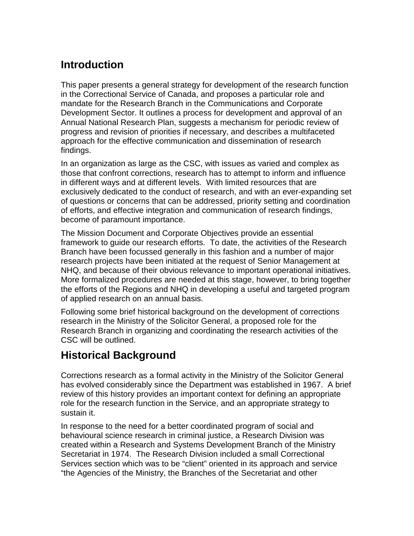## **Introduction**

This paper presents a general strategy for development of the research function in the Correctional Service of Canada, and proposes a particular role and mandate for the Research Branch in the Communications and Corporate Development Sector. It outlines a process for development and approval of an Annual National Research Plan, suggests a mechanism for periodic review of progress and revision of priorities if necessary, and describes a multifaceted approach for the effective communication and dissemination of research findings.

In an organization as large as the CSC, with issues as varied and complex as those that confront corrections, research has to attempt to inform and influence in different ways and at different levels. With limited resources that are exclusively dedicated to the conduct of research, and with an ever-expanding set of questions or concerns that can be addressed, priority setting and coordination of efforts, and effective integration and communication of research findings, become of paramount importance.

The Mission Document and Corporate Objectives provide an essential framework to guide our research efforts. To date, the activities of the Research Branch have been focussed generally in this fashion and a number of major research projects have been initiated at the request of Senior Management at NHQ, and because of their obvious relevance to important operational initiatives. More formalized procedures are needed at this stage, however, to bring together the efforts of the Regions and NHQ in developing a useful and targeted program of applied research on an annual basis.

Following some brief historical background on the development of corrections research in the Ministry of the Solicitor General, a proposed role for the Research Branch in organizing and coordinating the research activities of the CSC will be outlined.

## **Historical Background**

Corrections research as a formal activity in the Ministry of the Solicitor General has evolved considerably since the Department was established in 1967. A brief review of this history provides an important context for defining an appropriate role for the research function in the Service, and an appropriate strategy to sustain it.

In response to the need for a better coordinated program of social and behavioural science research in criminal justice, a Research Division was created within a Research and Systems Development Branch of the Ministry Secretariat in 1974. The Research Division included a small Correctional Services section which was to be "client" oriented in its approach and service "the Agencies of the Ministry, the Branches of the Secretariat and other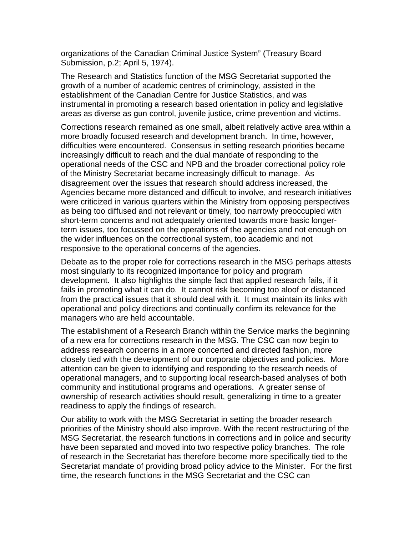organizations of the Canadian Criminal Justice System" (Treasury Board Submission, p.2; April 5, 1974).

The Research and Statistics function of the MSG Secretariat supported the growth of a number of academic centres of criminology, assisted in the establishment of the Canadian Centre for Justice Statistics, and was instrumental in promoting a research based orientation in policy and legislative areas as diverse as gun control, juvenile justice, crime prevention and victims.

Corrections research remained as one small, albeit relatively active area within a more broadly focused research and development branch. In time, however, difficulties were encountered. Consensus in setting research priorities became increasingly difficult to reach and the dual mandate of responding to the operational needs of the CSC and NPB and the broader correctional policy role of the Ministry Secretariat became increasingly difficult to manage. As disagreement over the issues that research should address increased, the Agencies became more distanced and difficult to involve, and research initiatives were criticized in various quarters within the Ministry from opposing perspectives as being too diffused and not relevant or timely, too narrowly preoccupied with short-term concerns and not adequately oriented towards more basic longerterm issues, too focussed on the operations of the agencies and not enough on the wider influences on the correctional system, too academic and not responsive to the operational concerns of the agencies.

Debate as to the proper role for corrections research in the MSG perhaps attests most singularly to its recognized importance for policy and program development. It also highlights the simple fact that applied research fails, if it fails in promoting what it can do. It cannot risk becoming too aloof or distanced from the practical issues that it should deal with it. It must maintain its links with operational and policy directions and continually confirm its relevance for the managers who are held accountable.

The establishment of a Research Branch within the Service marks the beginning of a new era for corrections research in the MSG. The CSC can now begin to address research concerns in a more concerted and directed fashion, more closely tied with the development of our corporate objectives and policies. More attention can be given to identifying and responding to the research needs of operational managers, and to supporting local research-based analyses of both community and institutional programs and operations. A greater sense of ownership of research activities should result, generalizing in time to a greater readiness to apply the findings of research.

Our ability to work with the MSG Secretariat in setting the broader research priorities of the Ministry should also improve. With the recent restructuring of the MSG Secretariat, the research functions in corrections and in police and security have been separated and moved into two respective policy branches. The role of research in the Secretariat has therefore become more specifically tied to the Secretariat mandate of providing broad policy advice to the Minister. For the first time, the research functions in the MSG Secretariat and the CSC can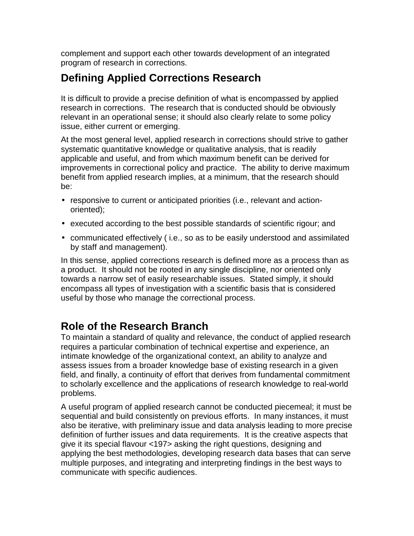complement and support each other towards development of an integrated program of research in corrections.

## **Defining Applied Corrections Research**

It is difficult to provide a precise definition of what is encompassed by applied research in corrections. The research that is conducted should be obviously relevant in an operational sense; it should also clearly relate to some policy issue, either current or emerging.

At the most general level, applied research in corrections should strive to gather systematic quantitative knowledge or qualitative analysis, that is readily applicable and useful, and from which maximum benefit can be derived for improvements in correctional policy and practice. The ability to derive maximum benefit from applied research implies, at a minimum, that the research should be:

- responsive to current or anticipated priorities (i.e., relevant and actionoriented);
- executed according to the best possible standards of scientific rigour; and
- communicated effectively ( i.e., so as to be easily understood and assimilated by staff and management).

In this sense, applied corrections research is defined more as a process than as a product. It should not be rooted in any single discipline, nor oriented only towards a narrow set of easily researchable issues. Stated simply, it should encompass all types of investigation with a scientific basis that is considered useful by those who manage the correctional process.

#### **Role of the Research Branch**

To maintain a standard of quality and relevance, the conduct of applied research requires a particular combination of technical expertise and experience, an intimate knowledge of the organizational context, an ability to analyze and assess issues from a broader knowledge base of existing research in a given field, and finally, a continuity of effort that derives from fundamental commitment to scholarly excellence and the applications of research knowledge to real-world problems.

A useful program of applied research cannot be conducted piecemeal; it must be sequential and build consistently on previous efforts. In many instances, it must also be iterative, with preliminary issue and data analysis leading to more precise definition of further issues and data requirements. It is the creative aspects that give it its special flavour <197> asking the right questions, designing and applying the best methodologies, developing research data bases that can serve multiple purposes, and integrating and interpreting findings in the best ways to communicate with specific audiences.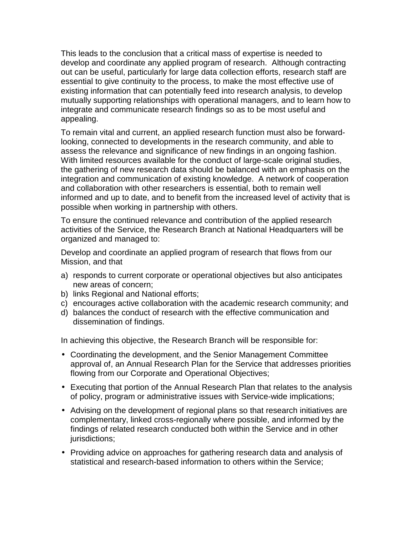This leads to the conclusion that a critical mass of expertise is needed to develop and coordinate any applied program of research. Although contracting out can be useful, particularly for large data collection efforts, research staff are essential to give continuity to the process, to make the most effective use of existing information that can potentially feed into research analysis, to develop mutually supporting relationships with operational managers, and to learn how to integrate and communicate research findings so as to be most useful and appealing.

To remain vital and current, an applied research function must also be forwardlooking, connected to developments in the research community, and able to assess the relevance and significance of new findings in an ongoing fashion. With limited resources available for the conduct of large-scale original studies, the gathering of new research data should be balanced with an emphasis on the integration and communication of existing knowledge. A network of cooperation and collaboration with other researchers is essential, both to remain well informed and up to date, and to benefit from the increased level of activity that is possible when working in partnership with others.

To ensure the continued relevance and contribution of the applied research activities of the Service, the Research Branch at National Headquarters will be organized and managed to:

Develop and coordinate an applied program of research that flows from our Mission, and that

- a) responds to current corporate or operational objectives but also anticipates new areas of concern;
- b) links Regional and National efforts;
- c) encourages active collaboration with the academic research community; and
- d) balances the conduct of research with the effective communication and dissemination of findings.

In achieving this objective, the Research Branch will be responsible for:

- Coordinating the development, and the Senior Management Committee approval of, an Annual Research Plan for the Service that addresses priorities flowing from our Corporate and Operational Objectives;
- Executing that portion of the Annual Research Plan that relates to the analysis of policy, program or administrative issues with Service-wide implications;
- Advising on the development of regional plans so that research initiatives are complementary, linked cross-regionally where possible, and informed by the findings of related research conducted both within the Service and in other jurisdictions;
- Providing advice on approaches for gathering research data and analysis of statistical and research-based information to others within the Service;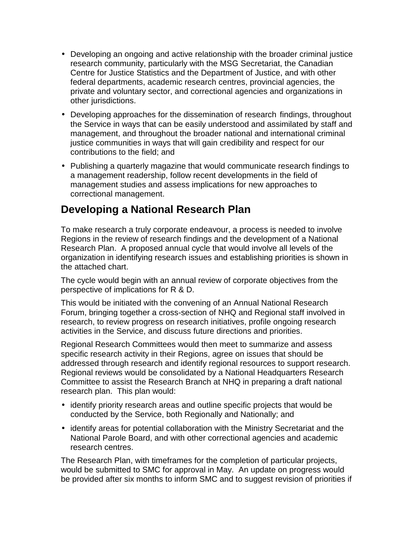- Developing an ongoing and active relationship with the broader criminal justice research community, particularly with the MSG Secretariat, the Canadian Centre for Justice Statistics and the Department of Justice, and with other federal departments, academic research centres, provincial agencies, the private and voluntary sector, and correctional agencies and organizations in other jurisdictions.
- Developing approaches for the dissemination of research findings, throughout the Service in ways that can be easily understood and assimilated by staff and management, and throughout the broader national and international criminal justice communities in ways that will gain credibility and respect for our contributions to the field; and
- Publishing a quarterly magazine that would communicate research findings to a management readership, follow recent developments in the field of management studies and assess implications for new approaches to correctional management.

## **Developing a National Research Plan**

To make research a truly corporate endeavour, a process is needed to involve Regions in the review of research findings and the development of a National Research Plan. A proposed annual cycle that would involve all levels of the organization in identifying research issues and establishing priorities is shown in the attached chart.

The cycle would begin with an annual review of corporate objectives from the perspective of implications for R & D.

This would be initiated with the convening of an Annual National Research Forum, bringing together a cross-section of NHQ and Regional staff involved in research, to review progress on research initiatives, profile ongoing research activities in the Service, and discuss future directions and priorities.

Regional Research Committees would then meet to summarize and assess specific research activity in their Regions, agree on issues that should be addressed through research and identify regional resources to support research. Regional reviews would be consolidated by a National Headquarters Research Committee to assist the Research Branch at NHQ in preparing a draft national research plan. This plan would:

- identify priority research areas and outline specific projects that would be conducted by the Service, both Regionally and Nationally; and
- identify areas for potential collaboration with the Ministry Secretariat and the National Parole Board, and with other correctional agencies and academic research centres.

The Research Plan, with timeframes for the completion of particular projects, would be submitted to SMC for approval in May. An update on progress would be provided after six months to inform SMC and to suggest revision of priorities if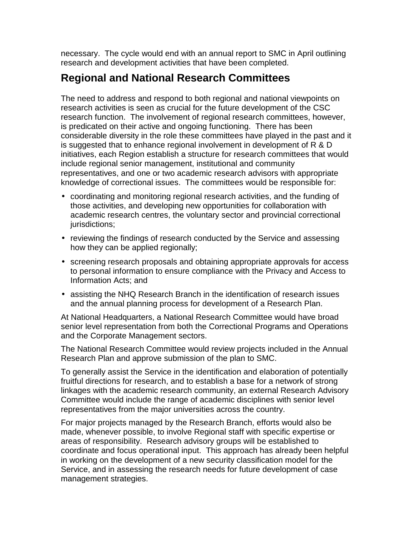necessary. The cycle would end with an annual report to SMC in April outlining research and development activities that have been completed.

#### **Regional and National Research Committees**

The need to address and respond to both regional and national viewpoints on research activities is seen as crucial for the future development of the CSC research function. The involvement of regional research committees, however, is predicated on their active and ongoing functioning. There has been considerable diversity in the role these committees have played in the past and it is suggested that to enhance regional involvement in development of R & D initiatives, each Region establish a structure for research committees that would include regional senior management, institutional and community representatives, and one or two academic research advisors with appropriate knowledge of correctional issues. The committees would be responsible for:

- coordinating and monitoring regional research activities, and the funding of those activities, and developing new opportunities for collaboration with academic research centres, the voluntary sector and provincial correctional jurisdictions;
- reviewing the findings of research conducted by the Service and assessing how they can be applied regionally;
- screening research proposals and obtaining appropriate approvals for access to personal information to ensure compliance with the Privacy and Access to Information Acts; and
- assisting the NHQ Research Branch in the identification of research issues and the annual planning process for development of a Research Plan.

At National Headquarters, a National Research Committee would have broad senior level representation from both the Correctional Programs and Operations and the Corporate Management sectors.

The National Research Committee would review projects included in the Annual Research Plan and approve submission of the plan to SMC.

To generally assist the Service in the identification and elaboration of potentially fruitful directions for research, and to establish a base for a network of strong linkages with the academic research community, an external Research Advisory Committee would include the range of academic disciplines with senior level representatives from the major universities across the country.

For major projects managed by the Research Branch, efforts would also be made, whenever possible, to involve Regional staff with specific expertise or areas of responsibility. Research advisory groups will be established to coordinate and focus operational input. This approach has already been helpful in working on the development of a new security classification model for the Service, and in assessing the research needs for future development of case management strategies.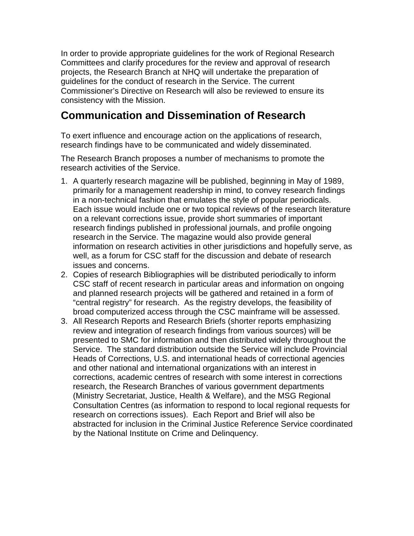In order to provide appropriate guidelines for the work of Regional Research Committees and clarify procedures for the review and approval of research projects, the Research Branch at NHQ will undertake the preparation of guidelines for the conduct of research in the Service. The current Commissioner's Directive on Research will also be reviewed to ensure its consistency with the Mission.

#### **Communication and Dissemination of Research**

To exert influence and encourage action on the applications of research, research findings have to be communicated and widely disseminated.

The Research Branch proposes a number of mechanisms to promote the research activities of the Service.

- 1. A quarterly research magazine will be published, beginning in May of 1989, primarily for a management readership in mind, to convey research findings in a non-technical fashion that emulates the style of popular periodicals. Each issue would include one or two topical reviews of the research literature on a relevant corrections issue, provide short summaries of important research findings published in professional journals, and profile ongoing research in the Service. The magazine would also provide general information on research activities in other jurisdictions and hopefully serve, as well, as a forum for CSC staff for the discussion and debate of research issues and concerns.
- 2. Copies of research Bibliographies will be distributed periodically to inform CSC staff of recent research in particular areas and information on ongoing and planned research projects will be gathered and retained in a form of "central registry" for research. As the registry develops, the feasibility of broad computerized access through the CSC mainframe will be assessed.
- 3. All Research Reports and Research Briefs (shorter reports emphasizing review and integration of research findings from various sources) will be presented to SMC for information and then distributed widely throughout the Service. The standard distribution outside the Service will include Provincial Heads of Corrections, U.S. and international heads of correctional agencies and other national and international organizations with an interest in corrections, academic centres of research with some interest in corrections research, the Research Branches of various government departments (Ministry Secretariat, Justice, Health & Welfare), and the MSG Regional Consultation Centres (as information to respond to local regional requests for research on corrections issues). Each Report and Brief will also be abstracted for inclusion in the Criminal Justice Reference Service coordinated by the National Institute on Crime and Delinquency.